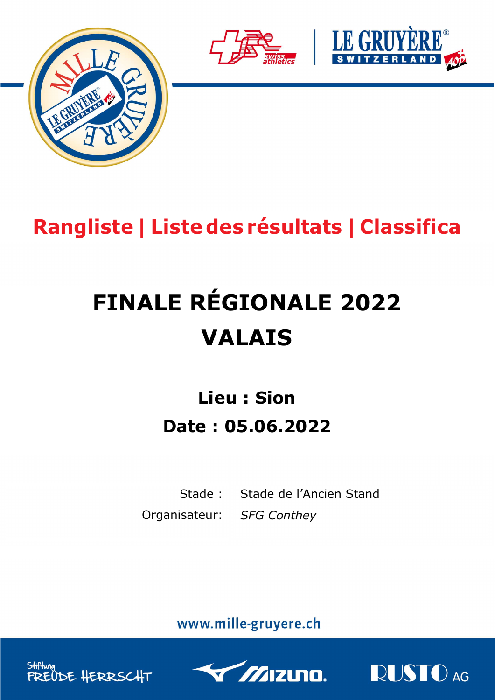





## Rangliste | Liste des résultats | Classifica

# FINALE RÉGIONALE 2022 VALAIS

## Lieu : Sion Date : 05.06.2022

Stade : Stade de l'Ancien Stand Organisateur: SFG Conthey

www.mille-gruyere.ch





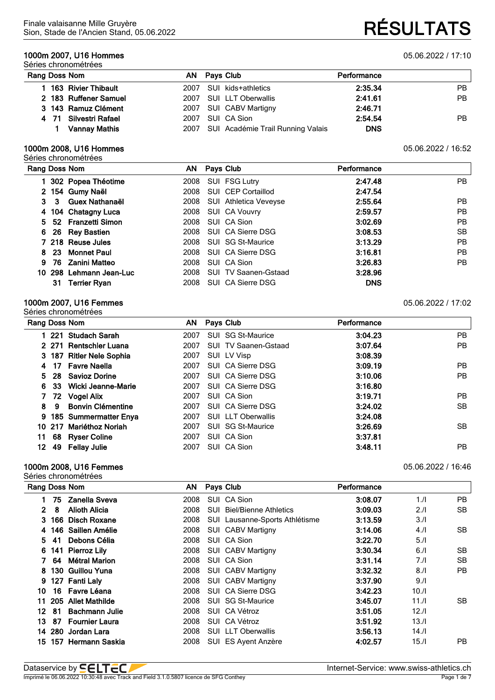#### **1000m 2007, U16 Hommes** 05.06.2022 / 17:10 Séries chronométrées

#### Dataservice by  $\overline{\sf \bf \leq }\overline{\sf \bf \leq L}$  , www.swiss-athletics.ch Imprimé le 06.06.2022 10:30:48 avec Track and Field 3.1.0.5807 licence de SFG Conthey **Page 1 de 7** and the 7 and the 7 and the 7 and the 7 and the 7 and the 7 and the 7 and the 7 and the 7 and the 7 and the 7 and the 7 an

Sion, Stade de l'Ancien Stand, 05.06.2022 **RÉSULTATS**

| Rang Doss Nom | AN.                   |  | Pays Club                              | Performance |     |
|---------------|-----------------------|--|----------------------------------------|-------------|-----|
|               | l 163 Rivier Thibault |  | 2007 SUI kids+athletics                | 2:35.34     | PB. |
|               | 2 183 Ruffener Samuel |  | 2007 SUI LLT Oberwallis                | 2:41.61     | PB. |
|               | 3 143 Ramuz Clément   |  | 2007 SUI CABV Martigny                 | 2:46.71     |     |
|               | 4 71 Silvestri Rafael |  | 2007 SUI CA Sion                       | 2:54.54     | PB. |
|               | <b>Vannay Mathis</b>  |  | 2007 SUI Académie Trail Running Valais | <b>DNS</b>  |     |

#### **1000m 2008, U16 Hommes** 05.06.2022 / 16:52 Séries chronométrées

|    |     | Rang Doss Nom           |      | AN Pays Club                 | Performance |           |
|----|-----|-------------------------|------|------------------------------|-------------|-----------|
|    |     | 302 Popea Théotime      | 2008 | SUI FSG Lutry                | 2:47.48     | <b>PB</b> |
|    |     | 2 154 Gumy Naël         | 2008 | SUI CEP Cortaillod           | 2:47.54     |           |
| 3  | 3   | Guex Nathanaël          | 2008 | <b>SUI</b> Athletica Veveyse | 2:55.64     | <b>PB</b> |
|    |     | 4 104 Chatagny Luca     |      | 2008 SUI CA Vouvry           | 2:59.57     | <b>PB</b> |
|    |     | 5 52 Franzetti Simon    | 2008 | SUI CA Sion                  | 3:02.69     | <b>PB</b> |
| 6. |     | 26 Rey Bastien          | 2008 | SUI CA Sierre DSG            | 3:08.53     | <b>SB</b> |
|    |     | 7 218 Reuse Jules       | 2008 | SUI SG St-Maurice            | 3:13.29     | <b>PB</b> |
| 8  | -23 | <b>Monnet Paul</b>      | 2008 | SUI CA Sierre DSG            | 3:16.81     | <b>PB</b> |
| 9  | 76  | Zanini Matteo           | 2008 | SUI CA Sion                  | 3:26.83     | <b>PB</b> |
|    |     | 10 298 Lehmann Jean-Luc | 2008 | <b>SUI TV Saanen-Gstaad</b>  | 3:28.96     |           |
|    | 31  | Terrier Ryan            | 2008 | SUI CA Sierre DSG            | <b>DNS</b>  |           |

#### **1000m 2007, U16 Femmes** 05.06.2022 / 17:02 Séries chronométrées

|     | Rang Doss Nom                  | AN.  | Pays Club                   | Performance |     |
|-----|--------------------------------|------|-----------------------------|-------------|-----|
|     | 1 221 Studach Sarah            | 2007 | SUI SG St-Maurice           | 3:04.23     | PB  |
|     | 2 271 Rentschler Luana         | 2007 | <b>SUI TV Saanen-Gstaad</b> | 3:07.64     | PB. |
|     | 3 187 Ritler Nele Sophia       | 2007 | SUI LV Visp                 | 3:08.39     |     |
|     | Favre Naella<br>17             | 2007 | SUI CA Sierre DSG           | 3:09.19     | PB. |
| 5.  | 28 Savioz Dorine               | 2007 | SUI CA Sierre DSG           | 3:10.06     | PB. |
| 6.  | Wicki Jeanne-Marie<br>33.      | 2007 | SUI CA Sierre DSG           | 3:16.80     |     |
|     | 7 72 Vogel Alix                | 2007 | SUI CA Sion                 | 3:19.71     | PB. |
| 8.  | <b>Bonvin Clémentine</b><br>-9 | 2007 | SUI CA Sierre DSG           | 3:24.02     | SB. |
|     | 9 185 Summermatter Enya        | 2007 | <b>SUI LLT Oberwallis</b>   | 3:24.08     |     |
| 10  | 217 Mariéthoz Noriah           | 2007 | SUI SG St-Maurice           | 3:26.69     | SB. |
| 11  | 68 Ryser Coline                | 2007 | SUI CA Sion                 | 3:37.81     |     |
| 12. | 49 Fellay Julie                | 2007 | SUI CA Sion                 | 3:48.11     | PB. |

#### **1000m 2008, U16 Femmes** 05.06.2022 / 16:46

| Rang Doss Nom |     |                       | ΑN   | Pays Club                        | Performance |          |           |
|---------------|-----|-----------------------|------|----------------------------------|-------------|----------|-----------|
|               | 75. | <b>Zanella Sveva</b>  | 2008 | SUI CA Sion                      | 3:08.07     | 1.1      | PB.       |
| $\mathbf{2}$  | 8   | <b>Alioth Alicia</b>  | 2008 | <b>SUI</b> Biel/Bienne Athletics | 3:09.03     | 2.1      | SB.       |
| 3.            |     | 166 Disch Roxane      | 2008 | SUI Lausanne-Sports Athlétisme   | 3:13.59     | 3.1      |           |
|               |     | 4 146 Saillen Amélie  | 2008 | <b>SUI CABV Martigny</b>         | 3:14.06     | $4$ ./l  | <b>SB</b> |
|               | 541 | Debons Célia          | 2008 | SUI CA Sion                      | 3:22.70     | 5.1      |           |
| 6.            |     | 141 Pierroz Lily      | 2008 | SUI CABV Martigny                | 3:30.34     | 6.1      | SB.       |
|               | 64  | Métral Marion         | 2008 | SUI CA Sion                      | 3:31.14     | 7.1      | <b>SB</b> |
|               |     | 8 130 Guillou Yuna    | 2008 | SUI CABV Martigny                | 3:32.32     | 8.1      | PB.       |
| 9.            |     | 127 Fanti Laly        | 2008 | SUI CABV Martigny                | 3:37.90     | 9.1      |           |
| 10            |     | 16 Favre Léana        | 2008 | SUI CA Sierre DSG                | 3:42.23     | 10.1     |           |
| 11            |     | 205 Allet Mathilde    | 2008 | SUI SG St-Maurice                | 3:45.07     | 11.1     | SB.       |
| 12            | -81 | <b>Bachmann Julie</b> | 2008 | SUI CA Vétroz                    | 3:51.05     | 12.1     |           |
| 13.           | 87  | Fournier Laura        | 2008 | SUI CA Vétroz                    | 3:51.92     | 13.1     |           |
|               |     | 14 280 Jordan Lara    | 2008 | SUI LLT Oberwallis               | 3:56.13     | $14.$ /l |           |
| 15.           |     | 157 Hermann Saskia    | 2008 | SUI ES Ayent Anzère              | 4:02.57     | 15.1     | PB.       |
|               |     |                       |      |                                  |             |          |           |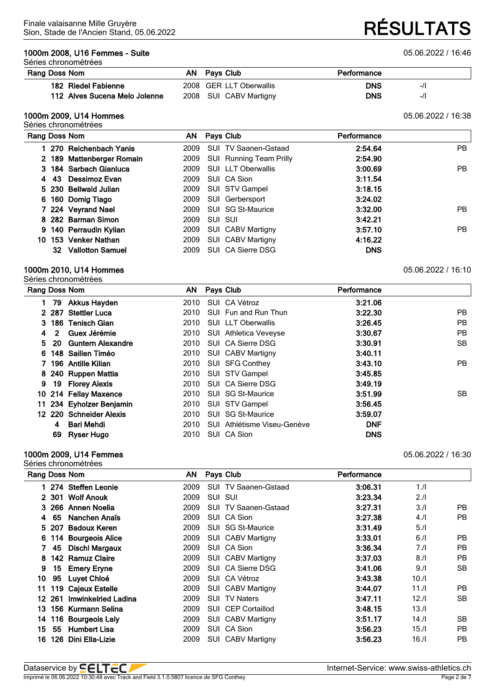#### **1000m 2008, U16 Femmes - Suite** 05.06.2022 / 16:46

Séries chronométrées

#### **Rang** Doss Nor

| Doss Nom            | AN Pays Club            | Performance |  |
|---------------------|-------------------------|-------------|--|
| 182 Riedel Fabienne | 2008 GER LLT Oberwallis | <b>DNS</b>  |  |

## **112 Alves Sucena Melo Jolenne** 2008 SUI CABV Martigny **DIS DNS**  $-1$

#### **1000m 2009, U14 Hommes** 05.06.2022 / 16:38 Séries chronométrées

|    |       | Rang Doss Nom             |      |         | AN Pays Club                   | Performance |     |
|----|-------|---------------------------|------|---------|--------------------------------|-------------|-----|
|    |       | 270 Reichenbach Yanis     | 2009 |         | <b>SUI TV Saanen-Gstaad</b>    | 2:54.64     | PB. |
|    |       | 2 189 Mattenberger Romain | 2009 |         | <b>SUI</b> Running Team Prilly | 2:54.90     |     |
|    |       | 3 184 Sarbach Gianluca    | 2009 |         | <b>SUI LLT Oberwallis</b>      | 3:00.69     | PB. |
| 4  | $-43$ | Dessimoz Evan             | 2009 |         | SUI CA Sion                    | 3:11.54     |     |
|    |       | 5 230 Bellwald Julian     | 2009 |         | SUI STV Gampel                 | 3:18.15     |     |
|    |       | 6 160 Domig Tiago         | 2009 |         | SUI Gerbersport                | 3:24.02     |     |
|    |       | 7 224 Veyrand Nael        | 2009 |         | SUI SG St-Maurice              | 3:32.00     | PB. |
|    |       | 8 282 Barman Simon        | 2009 | SUI SUI |                                | 3:42.21     |     |
|    |       | 9 140 Perraudin Kylian    | 2009 |         | SUI CABV Martigny              | 3:57.10     | PB. |
| 10 |       | 153 Venker Nathan         | 2009 |         | SUI CABV Martigny              | 4:16.22     |     |
|    |       | 32 Vallotton Samuel       | 2009 |         | SUI CA Sierre DSG              | <b>DNS</b>  |     |

#### **1000m 2010, U14 Hommes** 05.06.2022 / 16:10 Séries chronométrées

|    |                | Rang Doss Nom            |      | AN Pays Club |                             | Performance |           |
|----|----------------|--------------------------|------|--------------|-----------------------------|-------------|-----------|
|    | 79             | <b>Akkus Hayden</b>      | 2010 |              | SUI CA Vétroz               | 3:21.06     |           |
|    |                | 2 287 Stettler Luca      | 2010 |              | SUI Fun and Run Thun        | 3:22.30     | PB.       |
|    |                | 3 186 Tenisch Gian       | 2010 |              | SUI LLT Oberwallis          | 3:26.45     | <b>PB</b> |
| 4  | $\overline{2}$ | Guex Jérémie             |      |              | 2010 SUI Athletica Veveyse  | 3:30.67     | <b>PB</b> |
| 5. | <b>20</b>      | <b>Guntern Alexandre</b> | 2010 |              | SUI CA Sierre DSG           | 3:30.91     | SB.       |
| 6. |                | 148 Saillen Timéo        | 2010 |              | SUI CABV Martigny           | 3:40.11     |           |
|    |                | 7 196 Antille Kilian     |      |              | 2010 SUI SFG Conthey        | 3:43.10     | PB.       |
|    |                | 8 240 Ruppen Mattia      |      |              | 2010 SUI STV Gampel         | 3:45.85     |           |
| 9  |                | 19 Florey Alexis         | 2010 |              | SUI CA Sierre DSG           | 3:49.19     |           |
| 10 |                | 214 Fellay Maxence       |      |              | 2010 SUI SG St-Maurice      | 3:51.99     | SB.       |
| 11 |                | 234 Eyholzer Benjamin    | 2010 |              | SUI STV Gampel              | 3:56.45     |           |
|    |                | 12 220 Schneider Alexis  | 2010 |              | SUI SG St-Maurice           | 3:59.07     |           |
|    | 4              | Bari Mehdi               | 2010 |              | SUI Athlétisme Viseu-Genève | <b>DNF</b>  |           |
|    | 69             | Ryser Hugo               | 2010 |              | SUI CA Sion                 | <b>DNS</b>  |           |

#### **1000m 2009, U14 Femmes** 05.06.2022 / 16:30 Séries chronométrées

|     |        | Rang Doss Nom         | AN.  |            | Pays Club                   | Performance |       |           |
|-----|--------|-----------------------|------|------------|-----------------------------|-------------|-------|-----------|
|     |        | 1 274 Steffen Leonie  | 2009 |            | <b>SUI TV Saanen-Gstaad</b> | 3:06.31     | 1.1   |           |
|     |        | 2 301 Wolf Anouk      | 2009 |            | SUI SUI                     | 3:23.34     | 2.1   |           |
| З.  |        | 266 Annen Noelia      | 2009 |            | <b>SUI TV Saanen-Gstaad</b> | 3:27.31     | 3.1   | PB.       |
| 4   | 65     | Nanchen Anaïs         | 2009 |            | SUI CA Sion                 | 3:27.38     | 4.1   | <b>PB</b> |
|     | 5 207  | <b>Badoux Keren</b>   | 2009 |            | SUI SG St-Maurice           | 3:31.49     | 5.1   |           |
|     |        | 6 114 Bourgeois Alice | 2009 |            | SUI CABV Martigny           | 3:33.01     | 6.1   | PB.       |
|     | 45     | <b>Dischl Margaux</b> | 2009 |            | SUI CA Sion                 | 3:36.34     | 7.1   | <b>PB</b> |
| 8   | 142    | <b>Ramuz Claire</b>   | 2009 |            | <b>SUI CABV Martigny</b>    | 3:37.03     | 8.1   | PB        |
| 9   | 15     | <b>Emery Eryne</b>    | 2009 |            | SUI CA Sierre DSG           | 3:41.06     | 9.1   | <b>SB</b> |
| 10  | 95     | Luyet Chloé           | 2009 |            | SUI CA Vétroz               | 3:43.38     | 10.11 |           |
| 11  |        | 119 Cajeux Estelle    | 2009 |            | <b>SUI CABV Martigny</b>    | 3:44.07     | 11.1  | PB.       |
|     | 12 261 | Imwinkelried Ladina   | 2009 |            | <b>SUI TV Naters</b>        | 3:47.11     | 12.1  | <b>SB</b> |
| 13. |        | 156 Kurmann Selina    | 2009 |            | SUI CEP Cortaillod          | 3:48.15     | 13.1  |           |
| 14  |        | 116 Bourgeois Laly    | 2009 | SUI        | CABV Martigny               | 3:51.17     | 14.1  | SB.       |
| 15  | 55     | <b>Humbert Lisa</b>   | 2009 | <b>SUI</b> | CA Sion                     | 3:56.23     | 15.1  | <b>PB</b> |
| 16  |        | 126 Dini Ella-Lizie   | 2009 |            | <b>SUI CABV Martigny</b>    | 3:56.23     | 16./I | PB        |

Sion, Stade de l'Ancien Stand, 05.06.2022 **RÉSULTATS**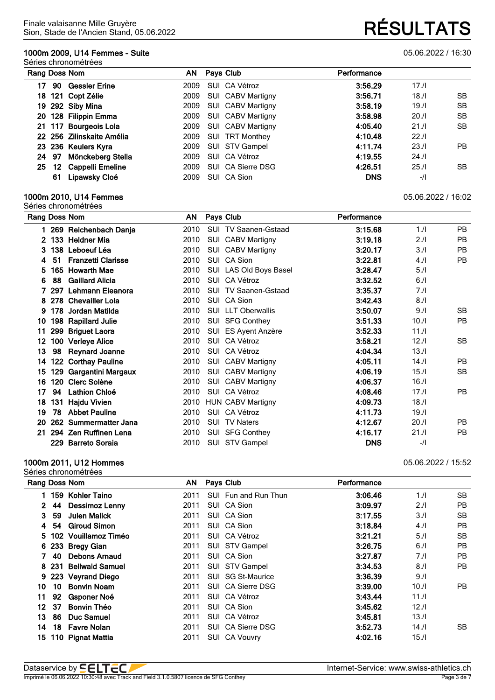### **1000m 2009, U14 Femmes - Suite** 05.06.2022 / 16:30

#### Séries chronométrées

|     | Rang Doss Nom |                           | AN.  |  | Pays Club                |            | Performance |     |  |
|-----|---------------|---------------------------|------|--|--------------------------|------------|-------------|-----|--|
| 17  | 90            | <b>Gessler Erine</b>      | 2009 |  | SUI CA Vétroz            | 3:56.29    | 17.1        |     |  |
| 18. |               | 121 Copt Zélie            | 2009 |  | <b>SUI CABV Martigny</b> | 3:56.71    | 18.1        | SВ  |  |
|     |               | 19 292 Siby Mina          | 2009 |  | SUI CABV Martigny        | 3:58.19    | 19.1        | SВ  |  |
|     |               | 20 128 Filippin Emma      | 2009 |  | SUI CABV Martigny        | 3:58.98    | 20.1        | SВ  |  |
|     |               | 21 117 Bourgeois Lola     | 2009 |  | SUI CABV Martigny        | 4:05.40    | 21.1        | SB. |  |
|     |               | 22 256 Zilinskaite Amélia | 2009 |  | SUI TRT Monthey          | 4:10.48    | 22.1        |     |  |
|     |               | 23 236 Keulers Kyra       | 2009 |  | SUI STV Gampel           | 4:11.74    | 23.1        | PB  |  |
| 24  | 97            | Mönckeberg Stella         | 2009 |  | SUI CA Vétroz            | 4:19.55    | 24.1        |     |  |
| 25  |               | 12 Cappelli Emeline       | 2009 |  | SUI CA Sierre DSG        | 4:26.51    | 25.1        | SВ  |  |
|     | 61            | Lipawsky Cloé             | 2009 |  | SUI CA Sion              | <b>DNS</b> | $-$ /l      |     |  |

#### **1000m 2010, U14 Femmes** 05.06.2022 / 16:02 Séries chronométrées

|                |     | Rang Doss Nom             | AN   | Pays Club                   | Performance |        |           |
|----------------|-----|---------------------------|------|-----------------------------|-------------|--------|-----------|
|                |     | 269 Reichenbach Danja     | 2010 | <b>SUI TV Saanen-Gstaad</b> | 3:15.68     | 1.1    | <b>PB</b> |
| $\mathbf{2}^-$ |     | 133 Heldner Mia           | 2010 | SUI CABV Martigny           | 3:19.18     | 2.1    | <b>PB</b> |
| 3              | 138 | Leboeuf Léa               | 2010 | SUI CABV Martigny           | 3:20.17     | 3.1    | <b>PB</b> |
| 4              | 51  | <b>Franzetti Clarisse</b> | 2010 | SUI CA Sion                 | 3:22.81     | 4.     | <b>PB</b> |
| 5              |     | 165 Howarth Mae           | 2010 | SUI LAS Old Boys Basel      | 3:28.47     | 5.1    |           |
| 6              | 88  | <b>Gaillard Alicia</b>    | 2010 | SUI CA Vétroz               | 3:32.52     | 6.1    |           |
|                | 297 | Lehmann Eleanora          | 2010 | SUI TV Saanen-Gstaad        | 3:35.37     | 7./I   |           |
| 8              |     | 278 Chevailler Lola       | 2010 | SUI CA Sion                 | 3:42.43     | 8.1    |           |
| 9              | 178 | Jordan Matilda            | 2010 | <b>SUI LLT Oberwallis</b>   | 3:50.07     | 9.1    | SB.       |
| 10             |     | 198 Rapillard Julie       | 2010 | SUI SFG Conthey             | 3:51.33     | 10.11  | <b>PB</b> |
| 11             |     | 299 Briguet Laora         | 2010 | SUI ES Ayent Anzère         | 3:52.33     | 11.1   |           |
| 12             |     | 100 Verleye Alice         | 2010 | SUI CA Vétroz               | 3:58.21     | 12.11  | SB.       |
| 13             | 98  | <b>Reynard Joanne</b>     | 2010 | SUI CA Vétroz               | 4:04.34     | 13.1   |           |
| 14             |     | 122 Corthay Pauline       | 2010 | SUI CABV Martigny           | 4:05.11     | 14.1   | PB.       |
| 15             |     | 129 Gargantini Margaux    | 2010 | SUI CABV Martigny           | 4:06.19     | 15.1   | SB.       |
| 16             |     | 120 Clerc Solène          | 2010 | SUI CABV Martigny           | 4:06.37     | 16.1   |           |
| 17             | 94  | <b>Lathion Chloé</b>      | 2010 | SUI CA Vétroz               | 4:08.46     | 17.1   | <b>PB</b> |
| 18             | 131 | <b>Hajdu Vivien</b>       | 2010 | <b>HUN CABV Martigny</b>    | 4:09.73     | 18.1   |           |
| 19             | 78  | <b>Abbet Pauline</b>      | 2010 | SUI CA Vétroz               | 4:11.73     | 19.1   |           |
| 20             |     | 262 Summermatter Jana     | 2010 | <b>SUI TV Naters</b>        | 4:12.67     | 20.1   | <b>PB</b> |
| 21             |     | 294 Zen Ruffinen Lena     | 2010 | SUI SFG Conthey             | 4:16.17     | 21.1   | PB.       |
|                | 229 | <b>Barreto Soraia</b>     | 2010 | SUI STV Gampel              | <b>DNS</b>  | $-$ /l |           |

#### **1000m 2011, U12 Hommes** 05.06.2022 / 15:52

| Rang Doss Nom |    |                        | AN   | Pays Club            | Performance |       |           |
|---------------|----|------------------------|------|----------------------|-------------|-------|-----------|
|               |    | 159 Kohler Taino       | 2011 | SUI Fun and Run Thun | 3:06.46     | 1.1   | <b>SB</b> |
| 2             | 44 | Dessimoz Lenny         | 2011 | SUI CA Sion          | 3:09.97     | 2.1   | РB        |
| 3.            | 59 | Julen Malick           | 2011 | SUI CA Sion          | 3:17.55     | 3.1   | <b>SB</b> |
| 4             | 54 | <b>Giroud Simon</b>    | 2011 | SUI CA Sion          | 3:18.84     | 4.11  | РB        |
|               |    | 5 102 Vouillamoz Timéo | 2011 | SUI CA Vétroz        | 3:21.21     | 5.1   | <b>SB</b> |
|               |    | 6 233 Bregy Gian       | 2011 | SUI STV Gampel       | 3:26.75     | 6.1   | PB        |
|               | 40 | Debons Arnaud          | 2011 | SUI CA Sion          | 3:27.87     | 7./I  | РB        |
|               |    | 8 231 Bellwald Samuel  | 2011 | SUI STV Gampel       | 3:34.53     | 8.1   | <b>PB</b> |
| 9.            |    | 223 Veyrand Diego      | 2011 | SUI SG St-Maurice    | 3:36.39     | 9.1   |           |
| 10            | 10 | <b>Bonvin Noam</b>     | 2011 | SUI CA Sierre DSG    | 3:39.00     | 10.11 | <b>PB</b> |
| 11            | 92 | Gsponer Noé            | 2011 | SUI CA Vétroz        | 3:43.44     | 11.1  |           |
| 12            | 37 | <b>Bonvin Théo</b>     | 2011 | SUI CA Sion          | 3:45.62     | 12.1  |           |
| 13.           | 86 | Duc Samuel             | 2011 | SUI CA Vétroz        | 3:45.81     | 13.1  |           |
| 14            |    | 18 Favre Nolan         | 2011 | SUI CA Sierre DSG    | 3:52.73     | 14.1  | SB.       |
| 15.           |    | 110 Pignat Mattia      | 2011 | SUI CA Vouvry        | 4:02.16     | 15.1  |           |

| Dataservice by <b>SELT</b>                                                            | Internet-Service: www.swiss-athletics.ch |
|---------------------------------------------------------------------------------------|------------------------------------------|
| Imprimé le 06.06.2022 10:30:48 avec Track and Field 3.1.0.5807 licence de SFG Conthey | Page 3 de 7                              |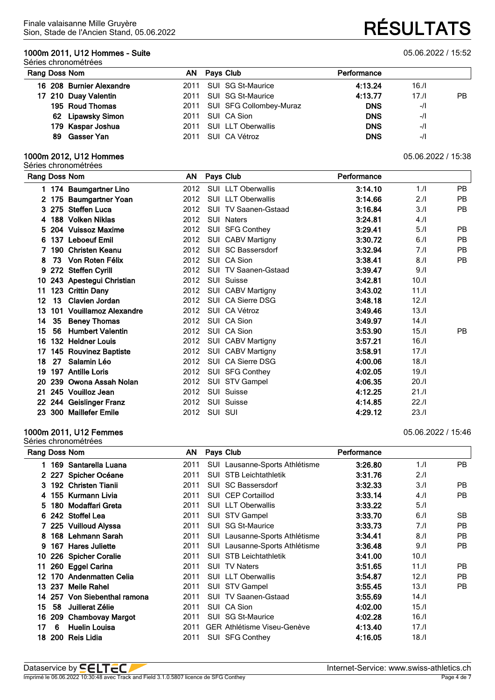### **1000m 2011, U12 Hommes - Suite** 05.06.2022 / 15:52

#### Séries chronométrées

| Rang Doss Nom |                          |      | AN Pays Club                 | Performance |        |           |
|---------------|--------------------------|------|------------------------------|-------------|--------|-----------|
|               | 16 208 Burnier Alexandre |      | 2011 SUI SG St-Maurice       | 4:13.24     | 16.1   |           |
|               | 17 210 Duay Valentin     |      | 2011 SUI SG St-Maurice       | 4:13.77     | 17.1   | <b>PB</b> |
|               | 195 Roud Thomas          |      | 2011 SUI SFG Collombey-Muraz | <b>DNS</b>  | $-1$   |           |
|               | 62 Lipawsky Simon        |      | 2011 SUI CA Sion             | <b>DNS</b>  | $-$ /l |           |
|               | 179 Kaspar Joshua        |      | 2011 SUI LLT Oberwallis      | <b>DNS</b>  | $-$ /l |           |
|               | 89 Gasser Yan            | 2011 | SUI CA Vétroz                | <b>DNS</b>  | $-$ /l |           |

#### **1000m 2012, U12 Hommes** 05.06.2022 / 15:38

|    |    | Séries chronométrées     |      |         |                             |             |       |           |
|----|----|--------------------------|------|---------|-----------------------------|-------------|-------|-----------|
|    |    | Rang Doss Nom            | AN   |         | Pays Club                   | Performance |       |           |
|    |    | 1 174 Baumgartner Lino   | 2012 |         | SUI LLT Oberwallis          | 3:14.10     | 1/l   | PB.       |
|    |    | 2 175 Baumgartner Yoan   | 2012 |         | <b>SUI LLT Oberwallis</b>   | 3:14.66     | 2.1   | <b>PB</b> |
| 3. |    | 275 Steffen Luca         | 2012 |         | <b>SUI TV Saanen-Gstaad</b> | 3:16.84     | 3.1   | <b>PB</b> |
| 4  |    | 188 Volken Niklas        | 2012 |         | <b>SUI Naters</b>           | 3:24.81     | 4.1   |           |
| 5. |    | 204 Vuissoz Maxime       | 2012 |         | SUI SFG Conthey             | 3:29.41     | 5.1   | <b>PB</b> |
| 6  |    | 137 Leboeuf Emil         | 2012 |         | SUI CABV Martigny           | 3:30.72     | 6.1   | <b>PB</b> |
| 7  |    | 190 Christen Keanu       | 2012 |         | SUI SC Bassersdorf          | 3:32.94     | 7.1   | <b>PB</b> |
| 8  | 73 | Von Roten Félix          | 2012 |         | SUI CA Sion                 | 3:38.41     | 8.1   | PB        |
| 9  |    | 272 Steffen Cyrill       | 2012 |         | <b>SUI TV Saanen-Gstaad</b> | 3:39.47     | 9.1   |           |
| 10 |    | 243 Apestegui Christian  | 2012 |         | SUI Suisse                  | 3:42.81     | 10.11 |           |
| 11 |    | 123 Crittin Dany         | 2012 |         | SUI CABV Martigny           | 3:43.02     | 11.1  |           |
| 12 | 13 | Clavien Jordan           | 2012 |         | SUI CA Sierre DSG           | 3:48.18     | 12.11 |           |
| 13 |    | 101 Vouillamoz Alexandre | 2012 |         | SUI CA Vétroz               | 3:49.46     | 13.1  |           |
| 14 | 35 | <b>Beney Thomas</b>      | 2012 |         | SUI CA Sion                 | 3:49.97     | 14.1  |           |
| 15 | 56 | <b>Humbert Valentin</b>  | 2012 |         | SUI CA Sion                 | 3:53.90     | 15.1  | <b>PB</b> |
| 16 |    | 132 Heldner Louis        | 2012 |         | SUI CABV Martigny           | 3:57.21     | 16.1  |           |
| 17 |    | 145 Rouvinez Baptiste    | 2012 |         | SUI CABV Martigny           | 3:58.91     | 17.1  |           |
| 18 | 27 | Salamin Léo              | 2012 |         | SUI CA Sierre DSG           | 4:00.06     | 18.1  |           |
| 19 |    | 197 Antille Loris        | 2012 |         | SUI SFG Conthey             | 4:02.05     | 19.1  |           |
| 20 |    | 239 Owona Assah Nolan    | 2012 |         | SUI STV Gampel              | 4:06.35     | 20.11 |           |
| 21 |    | 245 Vouilloz Jean        | 2012 |         | SUI Suisse                  | 4:12.25     | 21.1  |           |
| 22 |    | 244 Geislinger Franz     | 2012 |         | SUI Suisse                  | 4:14.85     | 22.1  |           |
|    |    | 23 300 Maillefer Emile   | 2012 | SUI SUI |                             | 4:29.12     | 23.1  |           |

#### **1000m 2011, U12 Femmes** 05.06.2022 / 15:46

| Rang Doss Nom |            |                          | ΑN   | Pays Club                          | Performance |      |           |
|---------------|------------|--------------------------|------|------------------------------------|-------------|------|-----------|
|               | 169        | Santarella Luana         | 2011 | SUI Lausanne-Sports Athlétisme     | 3:26.80     | 1.1  | PB.       |
|               |            | 2 227 Spicher Océane     | 2011 | SUI STB Leichtathletik             | 3:31.76     | 2.1  |           |
| З.            | 192        | <b>Christen Tianii</b>   | 2011 | <b>SUI SC Bassersdorf</b>          | 3:32.33     | 3.1  | PB.       |
| 4             |            | 155 Kurmann Livia        | 2011 | <b>SUI CEP Cortaillod</b>          | 3:33.14     | 4.1  | <b>PB</b> |
| 5.            | 180        | Modaffari Greta          | 2011 | <b>SUI LLT Oberwallis</b>          | 3:33.22     | 5.1  |           |
|               | 6 242      | <b>Stoffel Lea</b>       | 2011 | SUI STV Gampel                     | 3:33.70     | 6.1  | <b>SB</b> |
|               |            | 7 225 Vuilloud Alyssa    | 2011 | SUI SG St-Maurice                  | 3:33.73     | 7.1  | <b>PB</b> |
| 8             |            | 168 Lehmann Sarah        | 2011 | SUI Lausanne-Sports Athlétisme     | 3:34.41     | 8.1  | <b>PB</b> |
| 9             | 167        | <b>Hares Juliette</b>    | 2011 | SUI Lausanne-Sports Athlétisme     | 3:36.48     | 9.1  | <b>PB</b> |
| 10            |            | 226 Spicher Coralie      | 2011 | <b>SUI STB Leichtathletik</b>      | 3:41.00     | 10.1 |           |
| 11            |            | 260 Eggel Carina         | 2011 | <b>SUI TV Naters</b>               | 3:51.65     | 11.1 | <b>PB</b> |
| 12            | 170        | <b>Andenmatten Celia</b> | 2011 | <b>SUI LLT Oberwallis</b>          | 3:54.87     | 12.1 | <b>PB</b> |
| 13            | 237        | Meile Rahel              | 2011 | SUI STV Gampel                     | 3:55.45     | 13.1 | <b>PB</b> |
| 14            | 257        | Von Siebenthal ramona    | 2011 | <b>SUI TV Saanen-Gstaad</b>        | 3:55.69     | 14.1 |           |
| 15            | 58         | Juillerat Zélie          | 2011 | SUI CA Sion                        | 4:02.00     | 15.1 |           |
| 16            | 209        | <b>Chambovay Margot</b>  | 2011 | <b>SG St-Maurice</b><br><b>SUI</b> | 4:02.28     | 16.1 |           |
| 17            | 6          | <b>Huelin Louisa</b>     | 2011 | <b>GER Athlétisme Viseu-Genève</b> | 4:13.40     | 17.1 |           |
| 18            | <b>200</b> | Reis Lidia               | 2011 | <b>SUI SFG Conthey</b>             | 4:16.05     | 18.1 |           |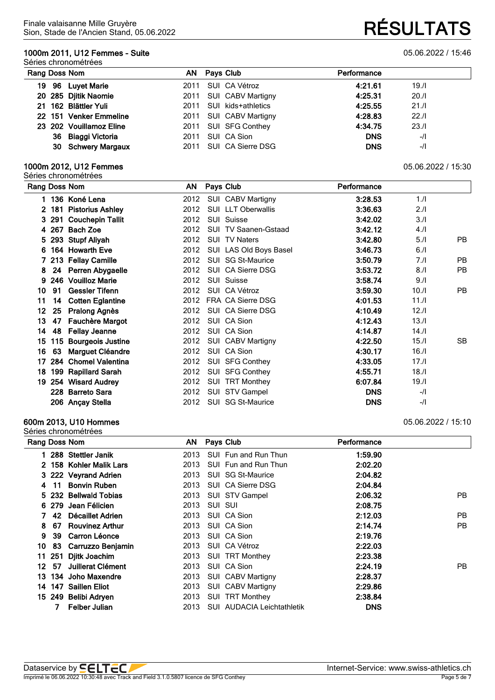### **1000m 2011, U12 Femmes - Suite** 05.06.2022 / 15:46

#### Séries chronométrées

| Rang Doss Nom           | AN                         | Pays Club                | Performance |        |
|-------------------------|----------------------------|--------------------------|-------------|--------|
| 96 Luyet Marie<br>19.   | 2011                       | SUI CA Vétroz            | 4:21.61     | 19.1   |
| 20 285 Djitik Naomie    | 2011                       | SUI CABV Martigny        | 4:25.31     | 20.1   |
| 21 162 Blättler Yuli    | 2011                       | SUI kids+athletics       | 4:25.55     | 21.1   |
| 22 151 Venker Emmeline  | 2011                       | <b>SUI CABV Martigny</b> | 4:28.83     | 22.1   |
| 23 202 Vouillamoz Eline | 2011                       | SUI SFG Conthey          | 4:34.75     | 23.1   |
| 36 Biaggi Victoria      | 2011                       | SUI CA Sion              | <b>DNS</b>  | $-$ /l |
|                         | 30 Schwery Margaux<br>2011 | SUI CA Sierre DSG        | <b>DNS</b>  | $-1$   |

#### **1000m 2012, U12 Femmes** 05.06.2022 / 15:30

Séries chronométrées

|                |       | Rang Doss Nom            | AN   | Pays Club |                             | Performance |       |           |
|----------------|-------|--------------------------|------|-----------|-----------------------------|-------------|-------|-----------|
|                |       | 1 136 Koné Lena          | 2012 |           | SUI CABV Martigny           | 3:28.53     | 1.1   |           |
| $\overline{2}$ | 181   | <b>Pistorius Ashley</b>  | 2012 |           | SUI LLT Oberwallis          | 3:36.63     | 2.1   |           |
| 3              | 291   | <b>Couchepin Tallit</b>  | 2012 |           | SUI Suisse                  | 3:42.02     | 3.1   |           |
|                | 4 267 | <b>Bach Zoe</b>          | 2012 |           | <b>SUI TV Saanen-Gstaad</b> | 3:42.12     | 4.1   |           |
| 5.             | 293   | <b>Stupf Aliyah</b>      | 2012 |           | SUI TV Naters               | 3:42.80     | 5.1   | <b>PB</b> |
| 6              |       | 164 Howarth Eve          | 2012 |           | SUI LAS Old Boys Basel      | 3:46.73     | 6.1   |           |
|                |       | 213 Fellay Camille       | 2012 |           | SUI SG St-Maurice           | 3:50.79     | 7.1   | <b>PB</b> |
| 8              | 24    | Perren Abygaelle         | 2012 |           | SUI CA Sierre DSG           | 3:53.72     | 8.1   | <b>PB</b> |
| 9              |       | 246 Vouilloz Marie       | 2012 |           | SUI Suisse                  | 3:58.74     | 9.1   |           |
| 10             | 91    | <b>Gessler Tifenn</b>    | 2012 |           | SUI CA Vétroz               | 3:59.30     | 10.11 | PB.       |
| 11             | 14    | <b>Cotten Eglantine</b>  | 2012 |           | FRA CA Sierre DSG           | 4:01.53     | 11.1  |           |
| 12             | 25    | Pralong Agnès            | 2012 |           | SUI CA Sierre DSG           | 4:10.49     | 12.1  |           |
| 13             | 47    | <b>Fauchère Margot</b>   | 2012 |           | SUI CA Sion                 | 4:12.43     | 13.1  |           |
| 14             | 48    | <b>Fellay Jeanne</b>     | 2012 |           | SUI CA Sion                 | 4:14.87     | 14.1  |           |
| 15             | 115   | <b>Bourgeois Justine</b> | 2012 |           | SUI CABV Martigny           | 4:22.50     | 15.1  | SB.       |
| 16             | 63    | Marguet Cléandre         | 2012 |           | SUI CA Sion                 | 4:30.17     | 16.1  |           |
| 17             | 284   | <b>Chomel Valentina</b>  | 2012 |           | SUI SFG Conthey             | 4:33.05     | 17.11 |           |
| 18             | 199   | <b>Rapillard Sarah</b>   | 2012 |           | SUI SFG Conthey             | 4:55.71     | 18.1  |           |
| 19             |       | 254 Wisard Audrey        | 2012 |           | SUI TRT Monthey             | 6:07.84     | 19.1  |           |
|                |       | 228 Barreto Sara         | 2012 |           | SUI STV Gampel              | <b>DNS</b>  | $-I$  |           |
|                |       | 206 Ançay Stella         | 2012 | SUI       | <b>SG St-Maurice</b>        | <b>DNS</b>  | $-1$  |           |
|                |       |                          |      |           |                             |             |       |           |

#### **600m 2013, U10 Hommes** 05.06.2022 / 15:10

Séries chronométrées **Rang Doss Nom AN Pays Club Performance 288 Stettler Janik** 2013 SUI Fun and Run Thun **1:59.90 158 Kohler Malik Lars** 2013 SUI Fun and Run Thun **2:02.20 222 Veyrand Adrien** 2013 SUI SG St-Maurice **2:04.82 11 Bonvin Ruben** 2013 SUI CA Sierre DSG **2:04.84 232 Bellwald Tobias** 2013 SUI STV Gampel **2:06.32** PB **279 Jean Félicien** 2013 SUI SUI **2:08.75 42 Décaillet Adrien** 2013 SUI CA Sion **2:12.03** PB **67 Rouvinez Arthur** 2013 SUI CA Sion **2:14.74** PB **39 Carron Léonce** 2013 SUI CA Sion **2:19.76 83 Carruzzo Benjamin** 2013 SUI CA Vétroz **2:22.03 251 Djitk Joachim** 2013 SUI TRT Monthey **2:23.38 57 Juillerat Clément** 2013 SUI CA Sion **2:24.19** PB **134 Joho Maxendre** 2013 SUI CABV Martigny **2:28.37 147 Saillen Eliot** 2013 SUI CABV Martigny **2:29.86 249 Belibi Adryen** 2013 SUI TRT Monthey **2:38.84**

**Felber Julian** 2013 SUI AUDACIA Leichtathletik **DNS**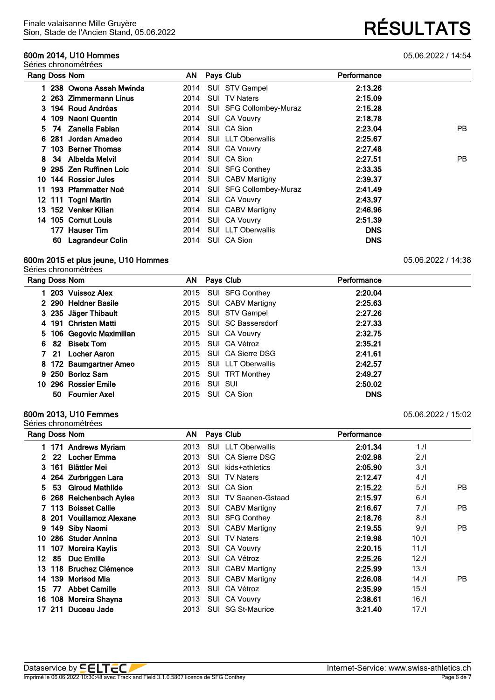#### **600m 2014, U10 Hommes** 05.06.2022 / 14:54 Séries chronométrées

## Sion, Stade de l'Ancien Stand, 05.06.2022 **RÉSULTATS**

| Rang Doss Nom |    |                         | AN   | Pays Club                 | Performance |     |
|---------------|----|-------------------------|------|---------------------------|-------------|-----|
|               |    | 238 Owona Assah Mwinda  | 2014 | SUI STV Gampel            | 2:13.26     |     |
|               |    | 2 263 Zimmermann Linus  | 2014 | <b>SUI TV Naters</b>      | 2:15.09     |     |
|               |    | 3 194 Roud Andréas      | 2014 | SUI SFG Collombey-Muraz   | 2:15.28     |     |
|               |    | 4 109 Naoni Quentin     | 2014 | SUI CA Vouvry             | 2:18.78     |     |
|               |    | 5 74 Zanella Fabian     | 2014 | SUI CA Sion               | 2:23.04     | PB. |
|               |    | 6 281 Jordan Amadeo     | 2014 | <b>SUI LLT Oberwallis</b> | 2:25.67     |     |
|               |    | 7 103 Berner Thomas     | 2014 | <b>SUI CA Vouvry</b>      | 2:27.48     |     |
| 8.            |    | 34 Albelda Melvil       | 2014 | SUI CA Sion               | 2:27.51     | PB. |
|               |    | 9 295 Zen Ruffinen Loic | 2014 | <b>SUI SFG Conthey</b>    | 2:33.35     |     |
| 10.           |    | 144 Rossier Jules       | 2014 | SUI CABV Martigny         | 2:39.37     |     |
| 11            |    | 193 Pfammatter Noé      | 2014 | SUI SFG Collombey-Muraz   | 2:41.49     |     |
|               |    | 12 111 Togni Martin     | 2014 | SUI CA Vouvry             | 2:43.97     |     |
|               |    | 13 152 Venker Kilian    | 2014 | <b>SUI CABV Martigny</b>  | 2:46.96     |     |
|               |    | 14 105 Cornut Louis     | 2014 | SUI CA Vouvry             | 2:51.39     |     |
|               |    | 177 Hauser Tim          | 2014 | <b>SUI LLT Oberwallis</b> | <b>DNS</b>  |     |
|               | 60 | Lagrandeur Colin        | 2014 | SUI CA Sion               | <b>DNS</b>  |     |

#### **600m 2015 et plus jeune, U10 Hommes** 05.06.2022 / 14:38

Séries chronométrées

| Rang Doss Nom |                          | AN Pays Club            | Performance |  |
|---------------|--------------------------|-------------------------|-------------|--|
|               | 1 203 Vuissoz Alex       | 2015 SUI SFG Conthey    | 2:20.04     |  |
|               | 2 290 Heldner Basile     | 2015 SUI CABV Martigny  | 2:25.63     |  |
|               | 3 235 Jäger Thibault     | 2015 SUI STV Gampel     | 2:27.26     |  |
|               | 4 191 Christen Matti     | 2015 SUI SC Bassersdorf | 2:27.33     |  |
|               | 5 106 Gegovic Maximilian | 2015 SUI CA Vouvry      | 2:32.75     |  |
|               | 6 82 Biselx Tom          | 2015 SUI CA Vétroz      | 2:35.21     |  |
|               | 7 21 Locher Aaron        | 2015 SUI CA Sierre DSG  | 2:41.61     |  |
|               | 8 172 Baumgartner Ameo   | 2015 SUI LLT Oberwallis | 2:42.57     |  |
|               | 9 250 Borloz Sam         | 2015 SUI TRT Monthey    | 2:49.27     |  |
|               | 10 296 Rossier Emile     | 2016 SUI SUI            | 2:50.02     |  |
|               | 50 Fournier Axel         | 2015 SUI CA Sion        | <b>DNS</b>  |  |

#### **600m 2013, U10 Femmes** 05.06.2022 / 15:02 Séries chronométrées

|     |     | Rang Doss Nom           | AN   |     | Pays Club                   | Performance |       |     |
|-----|-----|-------------------------|------|-----|-----------------------------|-------------|-------|-----|
|     |     | 1 171 Andrews Myriam    | 2013 |     | <b>SUI LLT Oberwallis</b>   | 2:01.34     | 1.1   |     |
| 2   | 22  | <b>Locher Emma</b>      | 2013 |     | SUI CA Sierre DSG           | 2:02.98     | 2.1   |     |
| 3   | 161 | <b>Blättler Mei</b>     | 2013 | SUI | kids+athletics              | 2:05.90     | 3.1   |     |
|     |     | 264 Zurbriggen Lara     | 2013 |     | <b>SUI TV Naters</b>        | 2:12.47     | 4.1   |     |
| 5   | 53  | <b>Giroud Mathilde</b>  | 2013 |     | SUI CA Sion                 | 2:15.22     | 5.1   | PB. |
| 6   |     | 268 Reichenbach Aylea   | 2013 |     | <b>SUI TV Saanen-Gstaad</b> | 2:15.97     | 6.1   |     |
|     |     | 113 Boisset Callie      | 2013 |     | SUI CABV Martigny           | 2:16.67     | 7.1   | PB. |
| 8.  |     | 201 Vouillamoz Alexane  | 2013 |     | SUI SFG Conthey             | 2:18.76     | 8.1   |     |
| 9   |     | 149 Siby Naomi          | 2013 |     | SUI CABV Martigny           | 2:19.55     | 9.1   | PB. |
| 10  |     | 286 Studer Annina       | 2013 |     | <b>SUI TV Naters</b>        | 2:19.98     | 10.11 |     |
| 11  | 107 | Moreira Kaylis          | 2013 |     | SUI CA Vouvry               | 2:20.15     | 11.1  |     |
| 12  | 85  | <b>Duc Emilie</b>       | 2013 |     | SUI CA Vétroz               | 2:25.26     | 12.1  |     |
| 13. | 118 | <b>Bruchez Clémence</b> | 2013 |     | SUI CABV Martigny           | 2:25.99     | 13.1  |     |
| 14  | 139 | <b>Morisod Mia</b>      | 2013 |     | SUI CABV Martigny           | 2:26.08     | 14.1  | PB. |
| 15  | 77  | <b>Abbet Camille</b>    | 2013 |     | SUI CA Vétroz               | 2:35.99     | 15.1  |     |
| 16  |     | 108 Moreira Shayna      | 2013 |     | SUI CA Vouvry               | 2:38.61     | 16.1  |     |
|     |     | 17 211 Duceau Jade      | 2013 |     | SUI SG St-Maurice           | 3:21.40     | 17.1  |     |